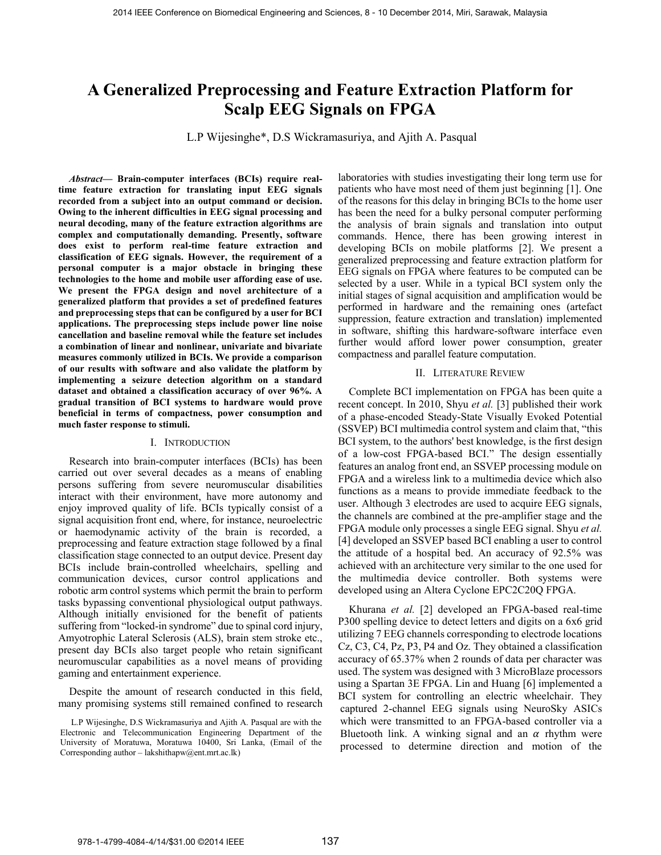# **A Generalized Preprocessing and Feature Extraction Platform for Scalp EEG Signals on FPGA**

L.P Wijesinghe\*, D.S Wickramasuriya, and Ajith A. Pasqual

*Abstract***— Brain-computer interfaces (BCIs) require realtime feature extraction for translating input EEG signals recorded from a subject into an output command or decision. Owing to the inherent difficulties in EEG signal processing and neural decoding, many of the feature extraction algorithms are complex and computationally demanding. Presently, software does exist to perform real-time feature extraction and classification of EEG signals. However, the requirement of a personal computer is a major obstacle in bringing these technologies to the home and mobile user affording ease of use. We present the FPGA design and novel architecture of a generalized platform that provides a set of predefined features and preprocessing steps that can be configured by a user for BCI applications. The preprocessing steps include power line noise cancellation and baseline removal while the feature set includes a combination of linear and nonlinear, univariate and bivariate measures commonly utilized in BCIs. We provide a comparison of our results with software and also validate the platform by implementing a seizure detection algorithm on a standard dataset and obtained a classification accuracy of over 96%. A gradual transition of BCI systems to hardware would prove beneficial in terms of compactness, power consumption and much faster response to stimuli.**

#### I. INTRODUCTION

Research into brain-computer interfaces (BCIs) has been carried out over several decades as a means of enabling persons suffering from severe neuromuscular disabilities interact with their environment, have more autonomy and enjoy improved quality of life. BCIs typically consist of a signal acquisition front end, where, for instance, neuroelectric or haemodynamic activity of the brain is recorded, a preprocessing and feature extraction stage followed by a final classification stage connected to an output device. Present day BCIs include brain-controlled wheelchairs, spelling and communication devices, cursor control applications and robotic arm control systems which permit the brain to perform tasks bypassing conventional physiological output pathways. Although initially envisioned for the benefit of patients suffering from "locked-in syndrome" due to spinal cord injury, Amyotrophic Lateral Sclerosis (ALS), brain stem stroke etc., present day BCIs also target people who retain significant neuromuscular capabilities as a novel means of providing gaming and entertainment experience.

Despite the amount of research conducted in this field, many promising systems still remained confined to research laboratories with studies investigating their long term use for patients who have most need of them just beginning [1]. One of the reasons for this delay in bringing BCIs to the home user has been the need for a bulky personal computer performing the analysis of brain signals and translation into output commands. Hence, there has been growing interest in developing BCIs on mobile platforms [2]. We present a generalized preprocessing and feature extraction platform for EEG signals on FPGA where features to be computed can be selected by a user. While in a typical BCI system only the initial stages of signal acquisition and amplification would be performed in hardware and the remaining ones (artefact suppression, feature extraction and translation) implemented in software, shifting this hardware-software interface even further would afford lower power consumption, greater compactness and parallel feature computation.

# II. LITERATURE REVIEW

Complete BCI implementation on FPGA has been quite a recent concept. In 2010, Shyu *et al.* [3] published their work of a phase-encoded Steady-State Visually Evoked Potential (SSVEP) BCI multimedia control system and claim that, "this BCI system, to the authors' best knowledge, is the first design of a low-cost FPGA-based BCI." The design essentially features an analog front end, an SSVEP processing module on FPGA and a wireless link to a multimedia device which also functions as a means to provide immediate feedback to the user. Although 3 electrodes are used to acquire EEG signals, the channels are combined at the pre-amplifier stage and the FPGA module only processes a single EEG signal. Shyu *et al.* [4] developed an SSVEP based BCI enabling a user to control the attitude of a hospital bed. An accuracy of 92.5% was achieved with an architecture very similar to the one used for the multimedia device controller. Both systems were developed using an Altera Cyclone EPC2C20Q FPGA.

Khurana *et al.* [2] developed an FPGA-based real-time P300 spelling device to detect letters and digits on a 6x6 grid utilizing 7 EEG channels corresponding to electrode locations Cz, C3, C4, Pz, P3, P4 and Oz. They obtained a classification accuracy of 65.37% when 2 rounds of data per character was used. The system was designed with 3 MicroBlaze processors using a Spartan 3E FPGA. Lin and Huang [6] implemented a BCI system for controlling an electric wheelchair. They captured 2-channel EEG signals using NeuroSky ASICs which were transmitted to an FPGA-based controller via a Bluetooth link. A winking signal and an  $\alpha$  rhythm were processed to determine direction and motion of the

L.P Wijesinghe, D.S Wickramasuriya and Ajith A. Pasqual are with the Electronic and Telecommunication Engineering Department of the University of Moratuwa, Moratuwa 10400, Sri Lanka, (Email of the Corresponding author – lakshithapw@ent.mrt.ac.lk)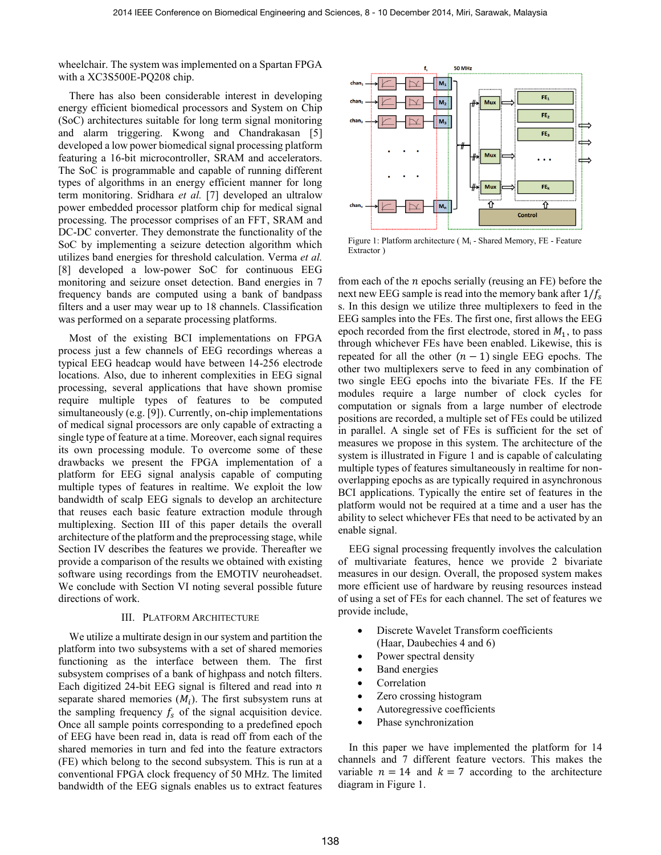wheelchair. The system was implemented on a Spartan FPGA with a XC3S500E-PQ208 chip.

There has also been considerable interest in developing energy efficient biomedical processors and System on Chip (SoC) architectures suitable for long term signal monitoring and alarm triggering. Kwong and Chandrakasan [5] developed a low power biomedical signal processing platform featuring a 16-bit microcontroller, SRAM and accelerators. The SoC is programmable and capable of running different types of algorithms in an energy efficient manner for long term monitoring. Sridhara *et al.* [7] developed an ultralow power embedded processor platform chip for medical signal processing. The processor comprises of an FFT, SRAM and DC-DC converter. They demonstrate the functionality of the SoC by implementing a seizure detection algorithm which utilizes band energies for threshold calculation. Verma *et al.* [8] developed a low-power SoC for continuous EEG monitoring and seizure onset detection. Band energies in 7 frequency bands are computed using a bank of bandpass filters and a user may wear up to 18 channels. Classification was performed on a separate processing platforms.

Most of the existing BCI implementations on FPGA process just a few channels of EEG recordings whereas a typical EEG headcap would have between 14-256 electrode locations. Also, due to inherent complexities in EEG signal processing, several applications that have shown promise require multiple types of features to be computed simultaneously (e.g. [9]). Currently, on-chip implementations of medical signal processors are only capable of extracting a single type of feature at a time. Moreover, each signal requires its own processing module. To overcome some of these drawbacks we present the FPGA implementation of a platform for EEG signal analysis capable of computing multiple types of features in realtime. We exploit the low bandwidth of scalp EEG signals to develop an architecture that reuses each basic feature extraction module through multiplexing. Section III of this paper details the overall architecture of the platform and the preprocessing stage, while Section IV describes the features we provide. Thereafter we provide a comparison of the results we obtained with existing software using recordings from the EMOTIV neuroheadset. We conclude with Section VI noting several possible future directions of work.

## III. PLATFORM ARCHITECTURE

We utilize a multirate design in our system and partition the platform into two subsystems with a set of shared memories functioning as the interface between them. The first subsystem comprises of a bank of highpass and notch filters. Each digitized 24-bit EEG signal is filtered and read into  $n$ separate shared memories  $(M_i)$ . The first subsystem runs at the sampling frequency  $f_s$  of the signal acquisition device. Once all sample points corresponding to a predefined epoch of EEG have been read in, data is read off from each of the shared memories in turn and fed into the feature extractors (FE) which belong to the second subsystem. This is run at a conventional FPGA clock frequency of 50 MHz. The limited bandwidth of the EEG signals enables us to extract features



Figure 1: Platform architecture (M<sub>i</sub> - Shared Memory, FE - Feature Extractor )

from each of the *n* epochs serially (reusing an FE) before the next new EEG sample is read into the memory bank after  $1/f_s$ s. In this design we utilize three multiplexers to feed in the EEG samples into the FEs. The first one, first allows the EEG epoch recorded from the first electrode, stored in  $M_1$ , to pass through whichever FEs have been enabled. Likewise, this is repeated for all the other  $(n - 1)$  single EEG epochs. The other two multiplexers serve to feed in any combination of two single EEG epochs into the bivariate FEs. If the FE modules require a large number of clock cycles for computation or signals from a large number of electrode positions are recorded, a multiple set of FEs could be utilized in parallel. A single set of FEs is sufficient for the set of measures we propose in this system. The architecture of the system is illustrated in Figure 1 and is capable of calculating multiple types of features simultaneously in realtime for nonoverlapping epochs as are typically required in asynchronous BCI applications. Typically the entire set of features in the platform would not be required at a time and a user has the ability to select whichever FEs that need to be activated by an enable signal.

EEG signal processing frequently involves the calculation of multivariate features, hence we provide 2 bivariate measures in our design. Overall, the proposed system makes more efficient use of hardware by reusing resources instead of using a set of FEs for each channel. The set of features we provide include,

- Discrete Wavelet Transform coefficients (Haar, Daubechies 4 and 6)
- Power spectral density
- Band energies
- Correlation
- Zero crossing histogram
- Autoregressive coefficients
- Phase synchronization

In this paper we have implemented the platform for 14 channels and 7 different feature vectors. This makes the variable  $n = 14$  and  $k = 7$  according to the architecture diagram in Figure 1.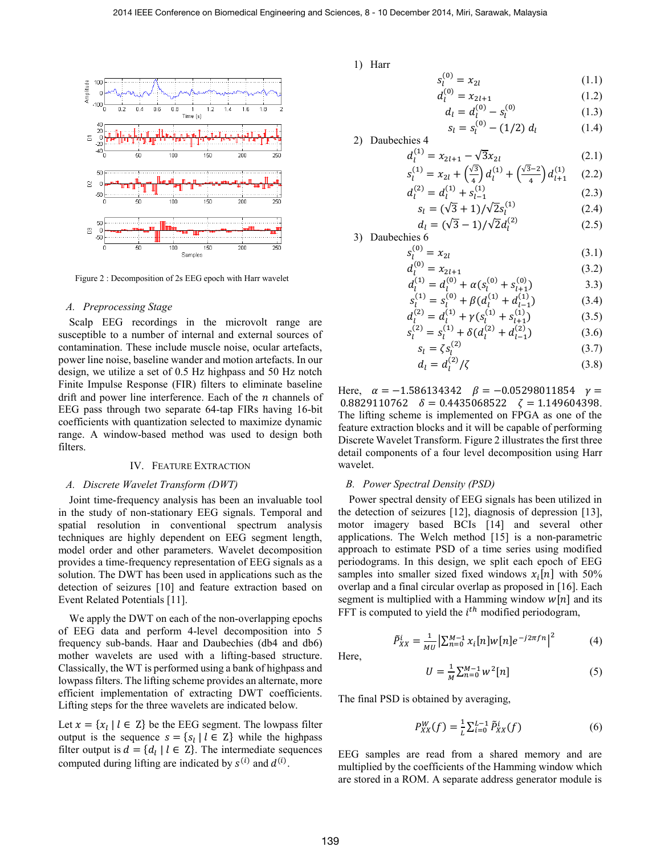

Figure 2 : Decomposition of 2s EEG epoch with Harr wavelet

#### *A. Preprocessing Stage*

Scalp EEG recordings in the microvolt range are susceptible to a number of internal and external sources of contamination. These include muscle noise, ocular artefacts, power line noise, baseline wander and motion artefacts. In our design, we utilize a set of 0.5 Hz highpass and 50 Hz notch Finite Impulse Response (FIR) filters to eliminate baseline drift and power line interference. Each of the  $n$  channels of EEG pass through two separate 64-tap FIRs having 16-bit coefficients with quantization selected to maximize dynamic range. A window-based method was used to design both filters.

#### IV. FEATURE EXTRACTION

# *A. Discrete Wavelet Transform (DWT)*

Joint time-frequency analysis has been an invaluable tool in the study of non-stationary EEG signals. Temporal and spatial resolution in conventional spectrum analysis techniques are highly dependent on EEG segment length, model order and other parameters. Wavelet decomposition provides a time-frequency representation of EEG signals as a solution. The DWT has been used in applications such as the detection of seizures [10] and feature extraction based on Event Related Potentials [11].

We apply the DWT on each of the non-overlapping epochs of EEG data and perform 4-level decomposition into 5 frequency sub-bands. Haar and Daubechies (db4 and db6) mother wavelets are used with a lifting-based structure. Classically, the WT is performed using a bank of highpass and lowpass filters. The lifting scheme provides an alternate, more efficient implementation of extracting DWT coefficients. Lifting steps for the three wavelets are indicated below.

Let  $x = \{x_l | l \in \mathbb{Z}\}$  be the EEG segment. The lowpass filter output is the sequence  $s = \{s_l | l \in \mathbb{Z}\}\$  while the highpass filter output is  $d = \{d_l | l \in \mathbb{Z}\}\.$  The intermediate sequences computed during lifting are indicated by  $s^{(i)}$  and  $d^{(i)}$ .

1) Harr

$$
s_l^{(0)} = x_{2l} \tag{1.1}
$$

$$
d_l^{(0)} = x_{2l+1} \tag{1.2}
$$

$$
d_l = d_l^{(0)} - s_l^{(0)} \tag{1.3}
$$

$$
s_l = s_l^{(0)} - (1/2) d_l \tag{1.4}
$$

2) Daubechies 4

$$
d_l^{(1)} = x_{2l+1} - \sqrt{3}x_{2l}
$$
\n
$$
s_l^{(1)} = x_{2l} + \left(\frac{\sqrt{3}}{4}\right)d_l^{(1)} + \left(\frac{\sqrt{3}-2}{4}\right)d_{l+1}^{(1)} \qquad (2.2)
$$

$$
\begin{aligned} \n\chi_{l}^{(1)} &= x_{2l} + \left(\frac{\sqrt{3}}{4}\right) d_{l}^{(1)} + \left(\frac{\sqrt{3}-2}{4}\right) d_{l+1}^{(1)} \quad (2.2) \\ \n\chi_{l}^{(2)} &= d_{l}^{(1)} + s_{l-1}^{(1)} \quad (2.3) \n\end{aligned}
$$

$$
s_l = (\sqrt{3} + 1) / \sqrt{2} s_l^{(1)}
$$
 (2.4)

$$
d_l = (\sqrt{3} - 1) / \sqrt{2} d_l^{(2)} \tag{2.5}
$$

3) Daubechies 6

 $\epsilon$ 

$$
s_l^{(0)} = x_{2l} \tag{3.1}
$$

$$
d_l^{(0)} = x_{2l+1}
$$
\n(3.2)\n
$$
d_l^{(1)} = d_l^{(0)} + \alpha (c_l^{(0)} + c_l^{(0)})
$$
\n(3.3)

$$
d_l^{(1)} = d_l^{(0)} + \alpha (s_l^{(0)} + s_{l+1}^{(0)})
$$
  
\n
$$
s_l^{(1)} = s_l^{(0)} + \beta (d_l^{(1)} + d_{l-1}^{(1)})
$$
  
\n(3.4)

$$
d_l^{(2)} = d_l^{(1)} + \gamma (s_l^{(1)} + s_{l+1}^{(1)})
$$
\n(3.5)

$$
s_l^{(2)} = s_l^{(1)} + \delta(d_l^{(2)} + d_{l-1}^{(2)})
$$
\n(3.6)

$$
s_l = \zeta s_l^{(2)} \tag{3.7}
$$

$$
d_l^{(2)}/\zeta\tag{3.8}
$$

Here,  $\alpha = -1.586134342$   $\beta = -0.05298011854$   $\gamma =$ 0.8829110762  $\delta = 0.4435068522$   $\zeta = 1.149604398$ . The lifting scheme is implemented on FPGA as one of the feature extraction blocks and it will be capable of performing Discrete Wavelet Transform. Figure 2 illustrates the first three detail components of a four level decomposition using Harr wavelet.

#### *B. Power Spectral Density (PSD)*

 $d_i =$ 

Power spectral density of EEG signals has been utilized in the detection of seizures [12], diagnosis of depression [13], motor imagery based BCIs [14] and several other applications. The Welch method [15] is a non-parametric approach to estimate PSD of a time series using modified periodograms. In this design, we split each epoch of EEG samples into smaller sized fixed windows  $x_i[n]$  with 50% overlap and a final circular overlap as proposed in [16]. Each segment is multiplied with a Hamming window  $w[n]$  and its FFT is computed to yield the  $i<sup>th</sup>$  modified periodogram,

$$
\tilde{P}_{XX}^i = \frac{1}{MU} \left| \sum_{n=0}^{M-1} x_i[n] w[n] e^{-j2\pi f n} \right|^2 \tag{4}
$$

Here,

$$
U = \frac{1}{M} \sum_{n=0}^{M-1} w^2[n] \tag{5}
$$

The final PSD is obtained by averaging,

$$
P_{XX}^W(f) = \frac{1}{L} \sum_{i=0}^{L-1} \tilde{P}_{XX}^i(f) \tag{6}
$$

EEG samples are read from a shared memory and are multiplied by the coefficients of the Hamming window which are stored in a ROM. A separate address generator module is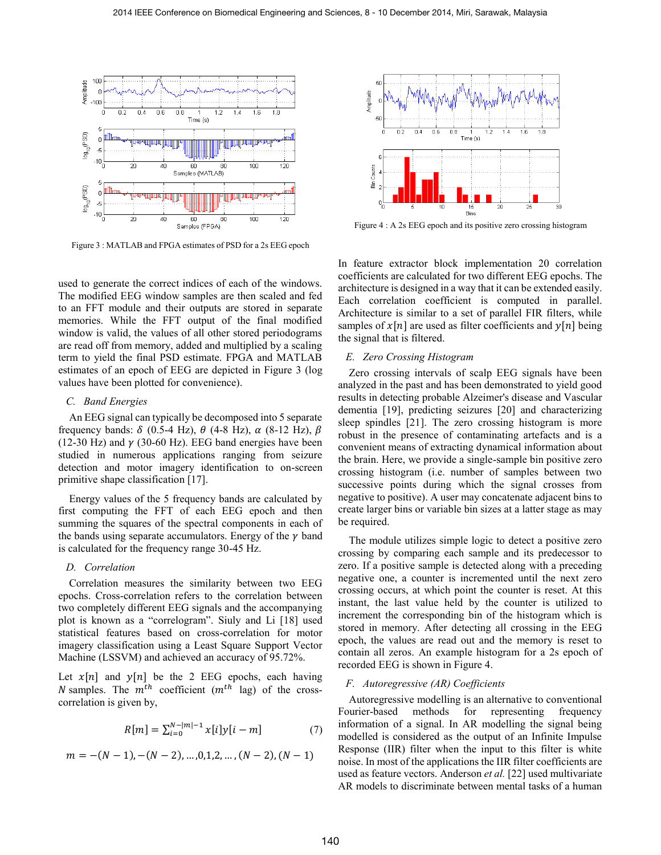

Figure 3 : MATLAB and FPGA estimates of PSD for a 2s EEG epoch

used to generate the correct indices of each of the windows. The modified EEG window samples are then scaled and fed to an FFT module and their outputs are stored in separate memories. While the FFT output of the final modified window is valid, the values of all other stored periodograms are read off from memory, added and multiplied by a scaling term to yield the final PSD estimate. FPGA and MATLAB estimates of an epoch of EEG are depicted in Figure 3 (log values have been plotted for convenience).

#### *C. Band Energies*

An EEG signal can typically be decomposed into 5 separate frequency bands:  $\delta$  (0.5-4 Hz),  $\theta$  (4-8 Hz),  $\alpha$  (8-12 Hz),  $\beta$ (12-30 Hz) and  $\gamma$  (30-60 Hz). EEG band energies have been studied in numerous applications ranging from seizure detection and motor imagery identification to on-screen primitive shape classification [17].

Energy values of the 5 frequency bands are calculated by first computing the FFT of each EEG epoch and then summing the squares of the spectral components in each of the bands using separate accumulators. Energy of the  $\gamma$  band is calculated for the frequency range 30-45 Hz.

#### *D. Correlation*

Correlation measures the similarity between two EEG epochs. Cross-correlation refers to the correlation between two completely different EEG signals and the accompanying plot is known as a "correlogram". Siuly and Li [18] used statistical features based on cross-correlation for motor imagery classification using a Least Square Support Vector Machine (LSSVM) and achieved an accuracy of 95.72%.

Let  $x[n]$  and  $y[n]$  be the 2 EEG epochs, each having N samples. The  $m^{th}$  coefficient  $(m^{th}$  lag) of the crosscorrelation is given by,

$$
R[m] = \sum_{i=0}^{N-|m|-1} x[i]y[i-m] \tag{7}
$$

$$
m=-(N-1),-(N-2),\ldots,0,1,2,\ldots,(N-2),(N-1)
$$



Figure 4 : A 2s EEG epoch and its positive zero crossing histogram

In feature extractor block implementation 20 correlation coefficients are calculated for two different EEG epochs. The architecture is designed in a way that it can be extended easily. Each correlation coefficient is computed in parallel. Architecture is similar to a set of parallel FIR filters, while samples of  $x[n]$  are used as filter coefficients and  $y[n]$  being the signal that is filtered.

#### *E. Zero Crossing Histogram*

Zero crossing intervals of scalp EEG signals have been analyzed in the past and has been demonstrated to yield good results in detecting probable Alzeimer's disease and Vascular dementia [19], predicting seizures [20] and characterizing sleep spindles [21]. The zero crossing histogram is more robust in the presence of contaminating artefacts and is a convenient means of extracting dynamical information about the brain. Here, we provide a single-sample bin positive zero crossing histogram (i.e. number of samples between two successive points during which the signal crosses from negative to positive). A user may concatenate adjacent bins to create larger bins or variable bin sizes at a latter stage as may be required.

The module utilizes simple logic to detect a positive zero crossing by comparing each sample and its predecessor to zero. If a positive sample is detected along with a preceding negative one, a counter is incremented until the next zero crossing occurs, at which point the counter is reset. At this instant, the last value held by the counter is utilized to increment the corresponding bin of the histogram which is stored in memory. After detecting all crossing in the EEG epoch, the values are read out and the memory is reset to contain all zeros. An example histogram for a 2s epoch of recorded EEG is shown in Figure 4.

# *F. Autoregressive (AR) Coefficients*

Autoregressive modelling is an alternative to conventional Fourier-based methods for representing frequency information of a signal. In AR modelling the signal being modelled is considered as the output of an Infinite Impulse Response (IIR) filter when the input to this filter is white noise. In most of the applications the IIR filter coefficients are used as feature vectors. Anderson *et al.* [22] used multivariate AR models to discriminate between mental tasks of a human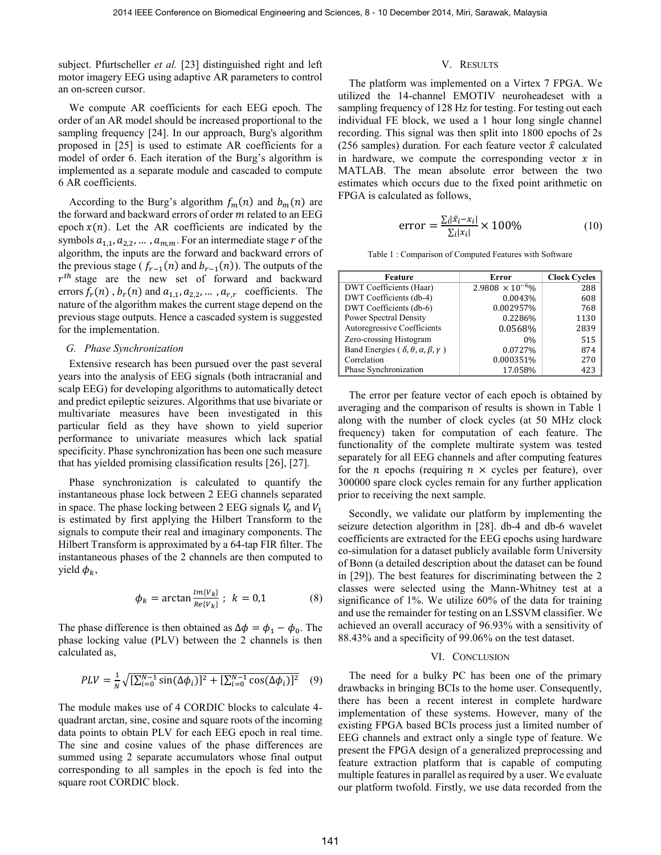subject. Pfurtscheller *et al.* [23] distinguished right and left motor imagery EEG using adaptive AR parameters to control an on-screen cursor.

We compute AR coefficients for each EEG epoch. The order of an AR model should be increased proportional to the sampling frequency [24]. In our approach, Burg's algorithm proposed in [25] is used to estimate AR coefficients for a model of order 6. Each iteration of the Burg's algorithm is implemented as a separate module and cascaded to compute 6 AR coefficients.

According to the Burg's algorithm  $f_m(n)$  and  $b_m(n)$  are the forward and backward errors of order  $m$  related to an EEG epoch  $x(n)$ . Let the AR coefficients are indicated by the symbols  $a_{1,1}, a_{2,2}, \dots, a_{m,m}$ . For an intermediate stage r of the algorithm, the inputs are the forward and backward errors of the previous stage ( $f_{r-1}(n)$  and  $b_{r-1}(n)$ ). The outputs of the  $r^{th}$  stage are the new set of forward and backward errors  $f_r(n)$ ,  $b_r(n)$  and  $a_{1,1}$ ,  $a_{2,2}$ , ...,  $a_{r,r}$  coefficients. The nature of the algorithm makes the current stage depend on the previous stage outputs. Hence a cascaded system is suggested for the implementation.

# *G. Phase Synchronization*

Extensive research has been pursued over the past several years into the analysis of EEG signals (both intracranial and scalp EEG) for developing algorithms to automatically detect and predict epileptic seizures. Algorithms that use bivariate or multivariate measures have been investigated in this particular field as they have shown to yield superior performance to univariate measures which lack spatial specificity. Phase synchronization has been one such measure that has yielded promising classification results [26], [27].

Phase synchronization is calculated to quantify the instantaneous phase lock between 2 EEG channels separated in space. The phase locking between 2 EEG signals  $V_0$  and  $V_1$ is estimated by first applying the Hilbert Transform to the signals to compute their real and imaginary components. The Hilbert Transform is approximated by a 64-tap FIR filter. The instantaneous phases of the 2 channels are then computed to yield  $\phi_k$ ,

$$
\phi_k = \arctan \frac{Im\{V_k\}}{Re\{V_k\}}; \ k = 0,1 \tag{8}
$$

The phase difference is then obtained as  $\Delta \phi = \phi_1 - \phi_0$ . The phase locking value (PLV) between the 2 channels is then calculated as,

$$
PLV = \frac{1}{N} \sqrt{[\sum_{i=0}^{N-1} \sin(\Delta \phi_i)]^2 + [\sum_{i=0}^{N-1} \cos(\Delta \phi_i)]^2}
$$
 (9)

The module makes use of 4 CORDIC blocks to calculate 4 quadrant arctan, sine, cosine and square roots of the incoming data points to obtain PLV for each EEG epoch in real time. The sine and cosine values of the phase differences are summed using 2 separate accumulators whose final output corresponding to all samples in the epoch is fed into the square root CORDIC block.

# V. RESULTS

The platform was implemented on a Virtex 7 FPGA. We utilized the 14-channel EMOTIV neuroheadeset with a sampling frequency of 128 Hz for testing. For testing out each individual FE block, we used a 1 hour long single channel recording. This signal was then split into 1800 epochs of 2s (256 samples) duration. For each feature vector  $\hat{x}$  calculated in hardware, we compute the corresponding vector  $x$  in MATLAB. The mean absolute error between the two estimates which occurs due to the fixed point arithmetic on FPGA is calculated as follows,

$$
error = \frac{\sum_{i} |\hat{x}_{i} - x_{i}|}{\sum_{i} |x_{i}|} \times 100\%
$$
 (10)

Table 1 : Comparison of Computed Features with Software

| Feature                                                               | Error                     | <b>Clock Cycles</b> |
|-----------------------------------------------------------------------|---------------------------|---------------------|
| DWT Coefficients (Haar)                                               | $2.9808 \times 10^{-6}\%$ | 288                 |
| DWT Coefficients (db-4)                                               | 0.0043%                   | 608                 |
| DWT Coefficients (db-6)                                               | 0.002957%                 | 768                 |
| <b>Power Spectral Density</b>                                         | 0.2286%                   | 1130                |
| Autoregressive Coefficients                                           | 0.0568%                   | 2839                |
| Zero-crossing Histogram                                               | $0\%$                     | 515                 |
| Band Energies ( $\delta$ , $\theta$ , $\alpha$ , $\beta$ , $\gamma$ ) | 0.0727%                   | 874                 |
| Correlation                                                           | 0.000351%                 | 270                 |
| Phase Synchronization                                                 | 17.058%                   | 423                 |

The error per feature vector of each epoch is obtained by averaging and the comparison of results is shown in Table 1 along with the number of clock cycles (at 50 MHz clock frequency) taken for computation of each feature. The functionality of the complete multirate system was tested separately for all EEG channels and after computing features for the *n* epochs (requiring  $n \times$  cycles per feature), over 300000 spare clock cycles remain for any further application prior to receiving the next sample.

Secondly, we validate our platform by implementing the seizure detection algorithm in [28]. db-4 and db-6 wavelet coefficients are extracted for the EEG epochs using hardware co-simulation for a dataset publicly available form University of Bonn (a detailed description about the dataset can be found in [29]). The best features for discriminating between the 2 classes were selected using the Mann-Whitney test at a significance of 1%. We utilize 60% of the data for training and use the remainder for testing on an LSSVM classifier. We achieved an overall accuracy of 96.93% with a sensitivity of 88.43% and a specificity of 99.06% on the test dataset.

## VI. CONCLUSION

The need for a bulky PC has been one of the primary drawbacks in bringing BCIs to the home user. Consequently, there has been a recent interest in complete hardware implementation of these systems. However, many of the existing FPGA based BCIs process just a limited number of EEG channels and extract only a single type of feature. We present the FPGA design of a generalized preprocessing and feature extraction platform that is capable of computing multiple features in parallel as required by a user. We evaluate our platform twofold. Firstly, we use data recorded from the